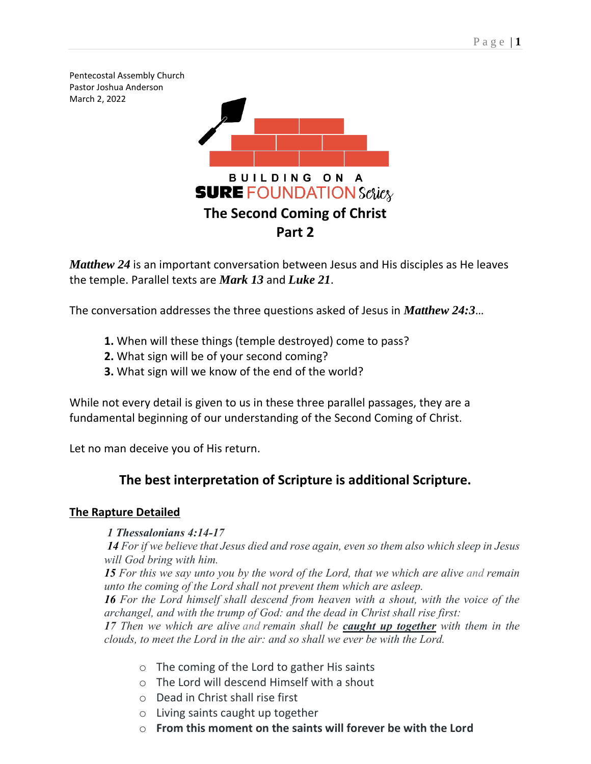Pentecostal Assembly Church Pastor Joshua Anderson March 2, 2022



*Matthew 24* is an important conversation between Jesus and His disciples as He leaves the temple. Parallel texts are *Mark 13* and *Luke 21*.

The conversation addresses the three questions asked of Jesus in *Matthew 24:3*…

- **1.** When will these things (temple destroyed) come to pass?
- **2.** What sign will be of your second coming?
- **3.** What sign will we know of the end of the world?

While not every detail is given to us in these three parallel passages, they are a fundamental beginning of our understanding of the Second Coming of Christ.

Let no man deceive you of His return.

# **The best interpretation of Scripture is additional Scripture.**

# **The Rapture Detailed**

# *1 Thessalonians 4:14-17*

*14 For if we believe that Jesus died and rose again, even so them also which sleep in Jesus will God bring with him.*

*15 For this we say unto you by the word of the Lord, that we which are alive and remain unto the coming of the Lord shall not prevent them which are asleep.*

*16 For the Lord himself shall descend from heaven with a shout, with the voice of the archangel, and with the trump of God: and the dead in Christ shall rise first:*

*17 Then we which are alive and remain shall be caught up together with them in the clouds, to meet the Lord in the air: and so shall we ever be with the Lord.*

- o The coming of the Lord to gather His saints
- o The Lord will descend Himself with a shout
- o Dead in Christ shall rise first
- o Living saints caught up together
- o **From this moment on the saints will forever be with the Lord**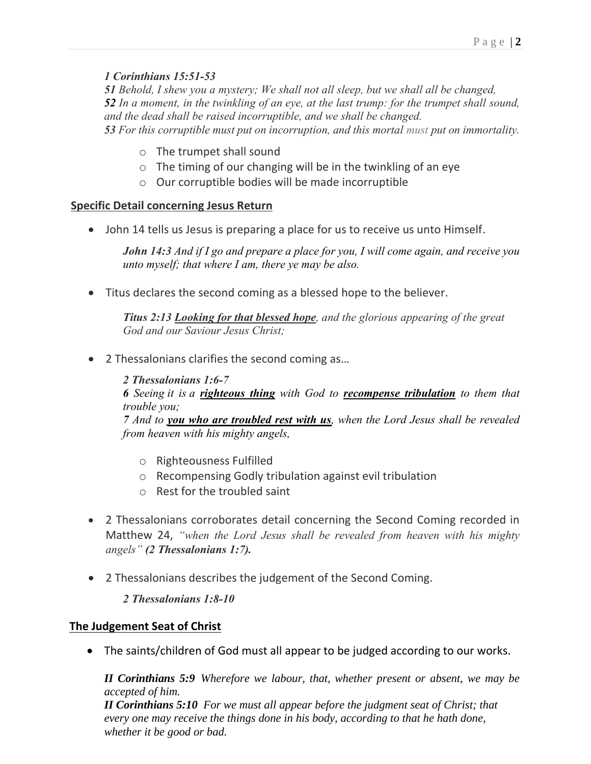## *1 Corinthians 15:51-53*

*Behold, I shew you a mystery; We shall not all sleep, but we shall all be changed, In a moment, in the twinkling of an eye, at the last trump: for the trumpet shall sound, and the dead shall be raised incorruptible, and we shall be changed. For this corruptible must put on incorruption, and this mortal must put on immortality.*

- o The trumpet shall sound
- $\circ$  The timing of our changing will be in the twinkling of an eye
- o Our corruptible bodies will be made incorruptible

#### **Specific Detail concerning Jesus Return**

• John 14 tells us Jesus is preparing a place for us to receive us unto Himself.

*John 14:3 And if I go and prepare a place for you, I will come again, and receive you unto myself; that where I am, there ye may be also.*

• Titus declares the second coming as a blessed hope to the believer.

*Titus 2:13 Looking for that blessed hope, and the glorious appearing of the great God and our Saviour Jesus Christ;*

- 2 Thessalonians clarifies the second coming as…
	- *2 Thessalonians 1:6-7*

*6 Seeing it is a righteous thing with God to recompense tribulation to them that trouble you;*

*7 And to you who are troubled rest with us, when the Lord Jesus shall be revealed from heaven with his mighty angels,*

- o Righteousness Fulfilled
- o Recompensing Godly tribulation against evil tribulation
- o Rest for the troubled saint
- 2 Thessalonians corroborates detail concerning the Second Coming recorded in Matthew 24, *"when the Lord Jesus shall be revealed from heaven with his mighty angels" (2 Thessalonians 1:7).*
- 2 Thessalonians describes the judgement of the Second Coming.

*2 Thessalonians 1:8-10*

#### **The Judgement Seat of Christ**

• The saints/children of God must all appear to be judged according to our works.

*[II Corinthians 5:9](verseid:47.5.9) Wherefore we labour, that, whether present or absent, we may be accepted of him.*

*[II Corinthians 5:10](verseid:47.5.10) For we must all appear before the judgment seat of Christ; that every one may receive the things done in his body, according to that he hath done, whether it be good or bad.*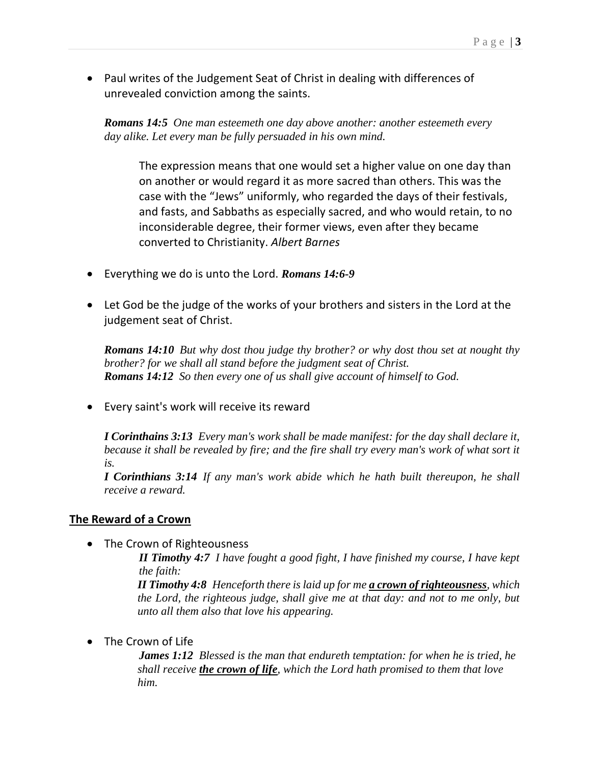• Paul writes of the Judgement Seat of Christ in dealing with differences of unrevealed conviction among the saints.

*[Romans 14:5](verseid:45.14.5) One man esteemeth one day above another: another esteemeth every day alike. Let every man be fully persuaded in his own mind.*

The expression means that one would set a higher value on one day than on another or would regard it as more sacred than others. This was the case with the "Jews" uniformly, who regarded the days of their festivals, and fasts, and Sabbaths as especially sacred, and who would retain, to no inconsiderable degree, their former views, even after they became converted to Christianity. *Albert Barnes*

- Everything we do is unto the Lord. *Romans 14:6-9*
- Let God be the judge of the works of your brothers and sisters in the Lord at the judgement seat of Christ.

*[Romans 14:10](verseid:45.14.10) But why dost thou judge thy brother? or why dost thou set at nought thy brother? for we shall all stand before the judgment seat of Christ. [Romans 14:12](verseid:45.14.12) So then every one of us shall give account of himself to God.*

• Every saint's work will receive its reward

*[I Corinthains 3:13](verseid:46.3.13) Every man's work shall be made manifest: for the day shall declare it, because it shall be revealed by fire; and the fire shall try every man's work of what sort it is.*

*[I Corinthians 3:14](verseid:46.3.14) If any man's work abide which he hath built thereupon, he shall receive a reward.*

#### **The Reward of a Crown**

• The Crown of Righteousness

*[II Timothy 4:7](verseid:55.4.7) I have fought a good fight, I have finished my course, I have kept the faith:*

*[II Timothy 4:8](verseid:55.4.8) Henceforth there is laid up for me a crown of righteousness, which the Lord, the righteous judge, shall give me at that day: and not to me only, but unto all them also that love his appearing.*

• The Crown of Life

*[James 1:12](verseid:59.1.12) Blessed is the man that endureth temptation: for when he is tried, he shall receive the crown of life, which the Lord hath promised to them that love him.*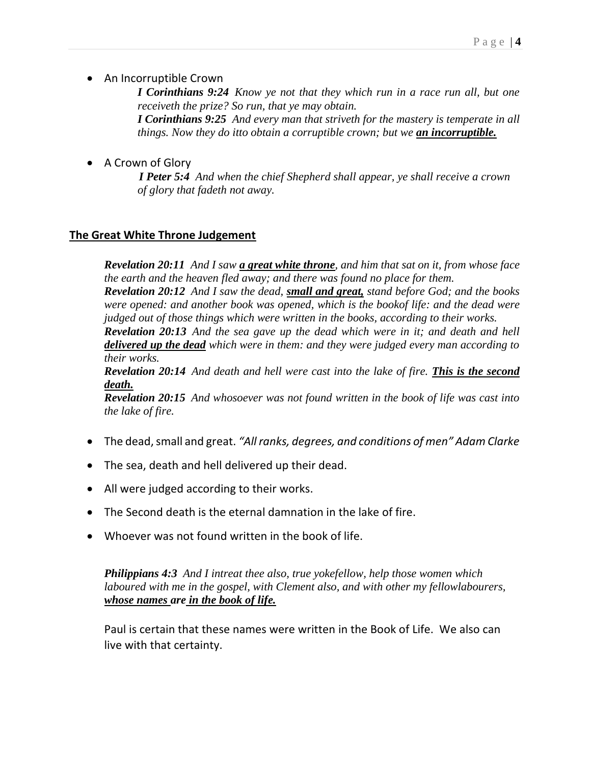• An Incorruptible Crown

*[I Corinthians 9:24](verseid:46.9.24) Know ye not that they which run in a race run all, but one receiveth the prize? So run, that ye may obtain.*

*[I Corinthians 9:25](verseid:46.9.25) And every man that striveth for the mastery is temperate in all things. Now they do itto obtain a corruptible crown; but we an incorruptible.*

• A Crown of Glory

*[I Peter 5:4](verseid:60.5.4) And when the chief Shepherd shall appear, ye shall receive a crown of glory that fadeth not away.*

## **The Great White Throne Judgement**

*[Revelation 20:11](verseid:66.20.11) And I saw a great white throne, and him that sat on it, from whose face the earth and the heaven fled away; and there was found no place for them.*

*[Revelation 20:12](verseid:66.20.12) And I saw the dead, small and great, stand before God; and the books were opened: and another book was opened, which is the bookof life: and the dead were judged out of those things which were written in the books, according to their works.*

*[Revelation 20:13](verseid:66.20.13) And the sea gave up the dead which were in it; and death and hell delivered up the dead which were in them: and they were judged every man according to their works.*

*[Revelation 20:14](verseid:66.20.14) And death and hell were cast into the lake of fire. This is the second death.*

*[Revelation 20:15](verseid:66.20.15) And whosoever was not found written in the book of life was cast into the lake of fire.*

- The dead, small and great. *"All ranks, degrees, and conditions of men" Adam Clarke*
- The sea, death and hell delivered up their dead.
- All were judged according to their works.
- The Second death is the eternal damnation in the lake of fire.
- Whoever was not found written in the book of life.

*[Philippians 4:3](verseid:50.4.3) And I intreat thee also, true yokefellow, help those women which laboured with me in the gospel, with Clement also, and with other my fellowlabourers, whose names are in the book of life.*

Paul is certain that these names were written in the Book of Life. We also can live with that certainty.